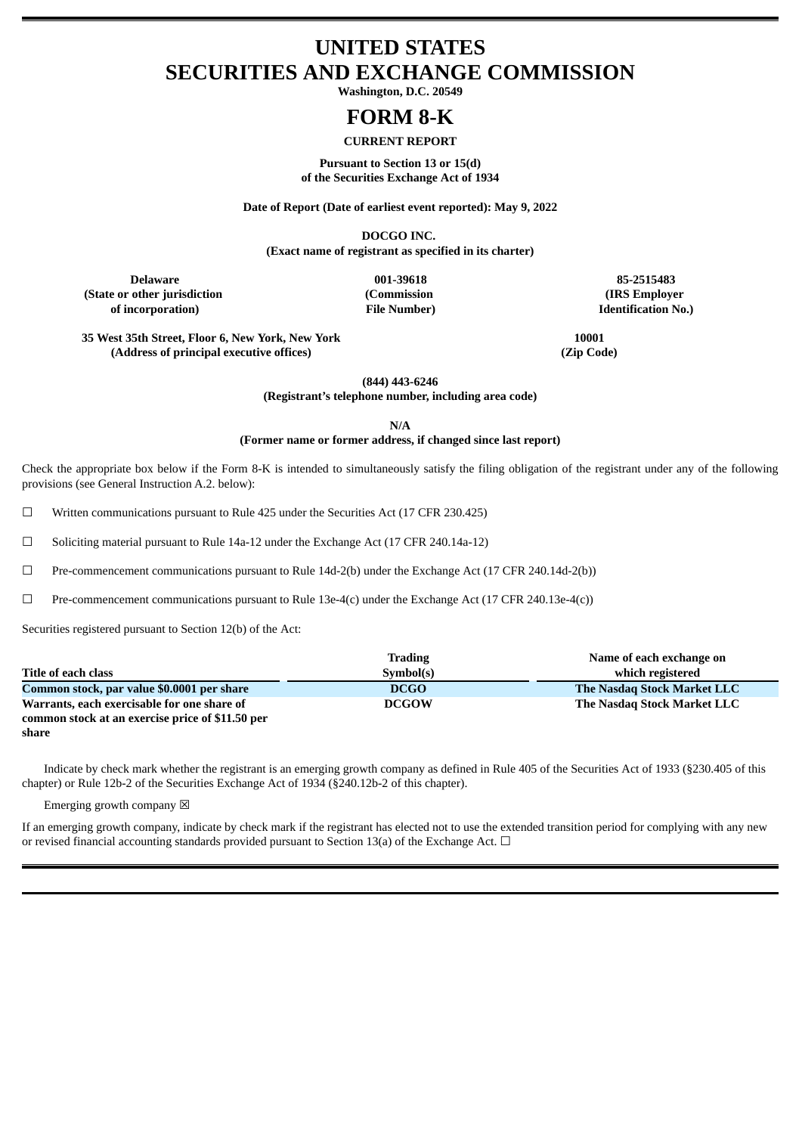# **UNITED STATES SECURITIES AND EXCHANGE COMMISSION**

**Washington, D.C. 20549**

## **FORM 8-K**

## **CURRENT REPORT**

**Pursuant to Section 13 or 15(d) of the Securities Exchange Act of 1934**

**Date of Report (Date of earliest event reported): May 9, 2022**

**DOCGO INC.**

**(Exact name of registrant as specified in its charter)**

**(State or other jurisdiction of incorporation)**

**(Commission File Number)**

**Delaware 001-39618 85-2515483 (IRS Employer Identification No.)**

**35 West 35th Street, Floor 6, New York, New York (Address of principal executive offices)**

**10001 (Zip Code)**

**(844) 443-6246**

**(Registrant's telephone number, including area code)**

**N/A**

**(Former name or former address, if changed since last report)**

Check the appropriate box below if the Form 8-K is intended to simultaneously satisfy the filing obligation of the registrant under any of the following provisions (see General Instruction A.2. below):

☐ Written communications pursuant to Rule 425 under the Securities Act (17 CFR 230.425)

☐ Soliciting material pursuant to Rule 14a-12 under the Exchange Act (17 CFR 240.14a-12)

☐ Pre-commencement communications pursuant to Rule 14d-2(b) under the Exchange Act (17 CFR 240.14d-2(b))

 $□$  Pre-commencement communications pursuant to Rule 13e-4(c) under the Exchange Act (17 CFR 240.13e-4(c))

Securities registered pursuant to Section 12(b) of the Act:

|                                                  | <b>Trading</b> | Name of each exchange on    |
|--------------------------------------------------|----------------|-----------------------------|
| Title of each class                              | Symbol(s)      | which registered            |
| Common stock, par value \$0.0001 per share       | <b>DCGO</b>    | The Nasdag Stock Market LLC |
| Warrants, each exercisable for one share of      | <b>DCGOW</b>   | The Nasdag Stock Market LLC |
| common stock at an exercise price of \$11.50 per |                |                             |

**share**

Indicate by check mark whether the registrant is an emerging growth company as defined in Rule 405 of the Securities Act of 1933 (§230.405 of this chapter) or Rule 12b-2 of the Securities Exchange Act of 1934 (§240.12b-2 of this chapter).

Emerging growth company  $\boxtimes$ 

If an emerging growth company, indicate by check mark if the registrant has elected not to use the extended transition period for complying with any new or revised financial accounting standards provided pursuant to Section 13(a) of the Exchange Act.  $\Box$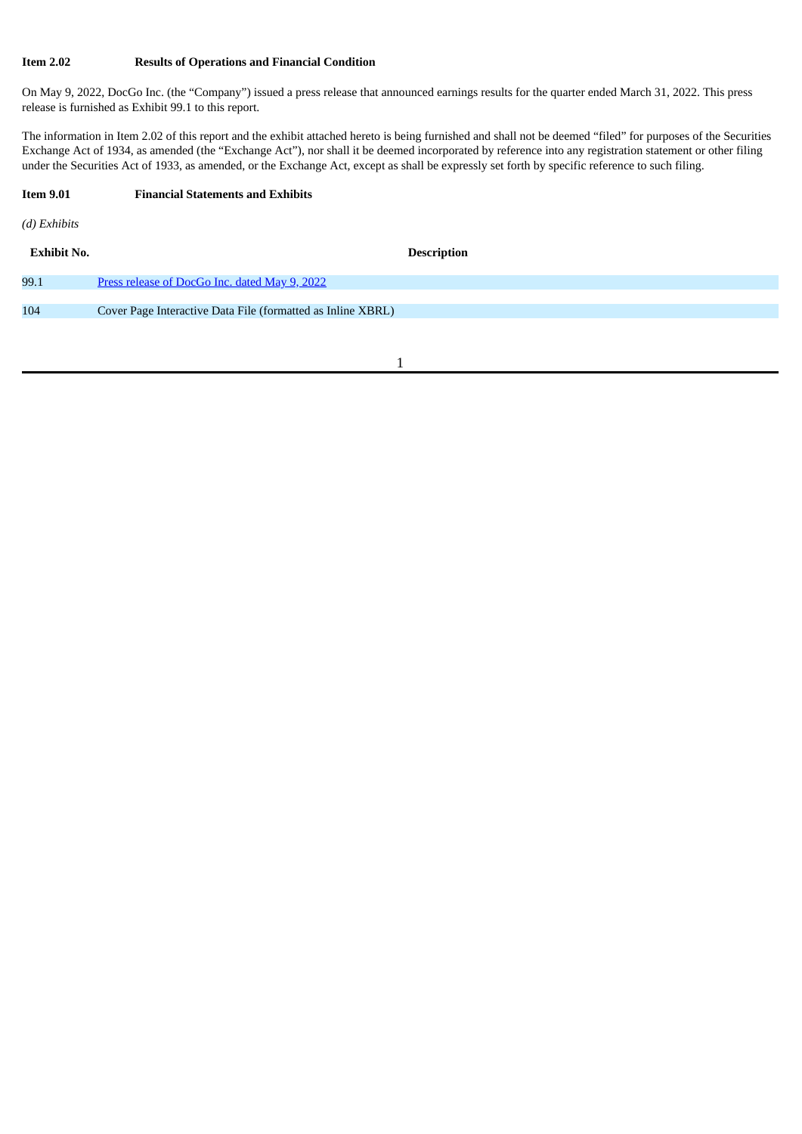## **Item 2.02 Results of Operations and Financial Condition**

On May 9, 2022, DocGo Inc. (the "Company") issued a press release that announced earnings results for the quarter ended March 31, 2022. This press release is furnished as Exhibit 99.1 to this report.

The information in Item 2.02 of this report and the exhibit attached hereto is being furnished and shall not be deemed "filed" for purposes of the Securities Exchange Act of 1934, as amended (the "Exchange Act"), nor shall it be deemed incorporated by reference into any registration statement or other filing under the Securities Act of 1933, as amended, or the Exchange Act, except as shall be expressly set forth by specific reference to such filing.

#### **Item 9.01 Financial Statements and Exhibits**

*(d) Exhibits*

#### **Exhibit No. Description**

| 99.1 | Press release of DocGo Inc. dated May 9, 2022               |
|------|-------------------------------------------------------------|
|      |                                                             |
| 104  | Cover Page Interactive Data File (formatted as Inline XBRL) |
|      |                                                             |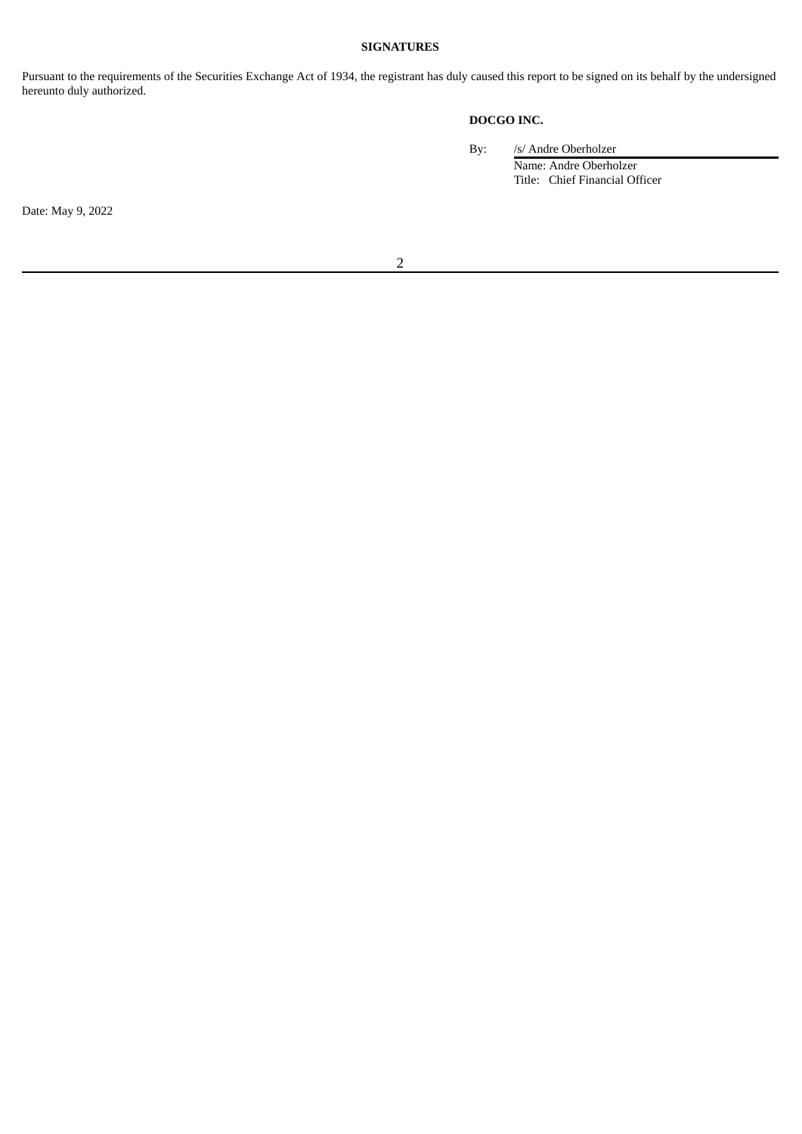#### **SIGNATURES**

Pursuant to the requirements of the Securities Exchange Act of 1934, the registrant has duly caused this report to be signed on its behalf by the undersigned hereunto duly authorized.

## **DOCGO INC.**

By: /s/ Andre Oberholzer

Name: Andre Oberholzer Title: Chief Financial Officer

Date: May 9, 2022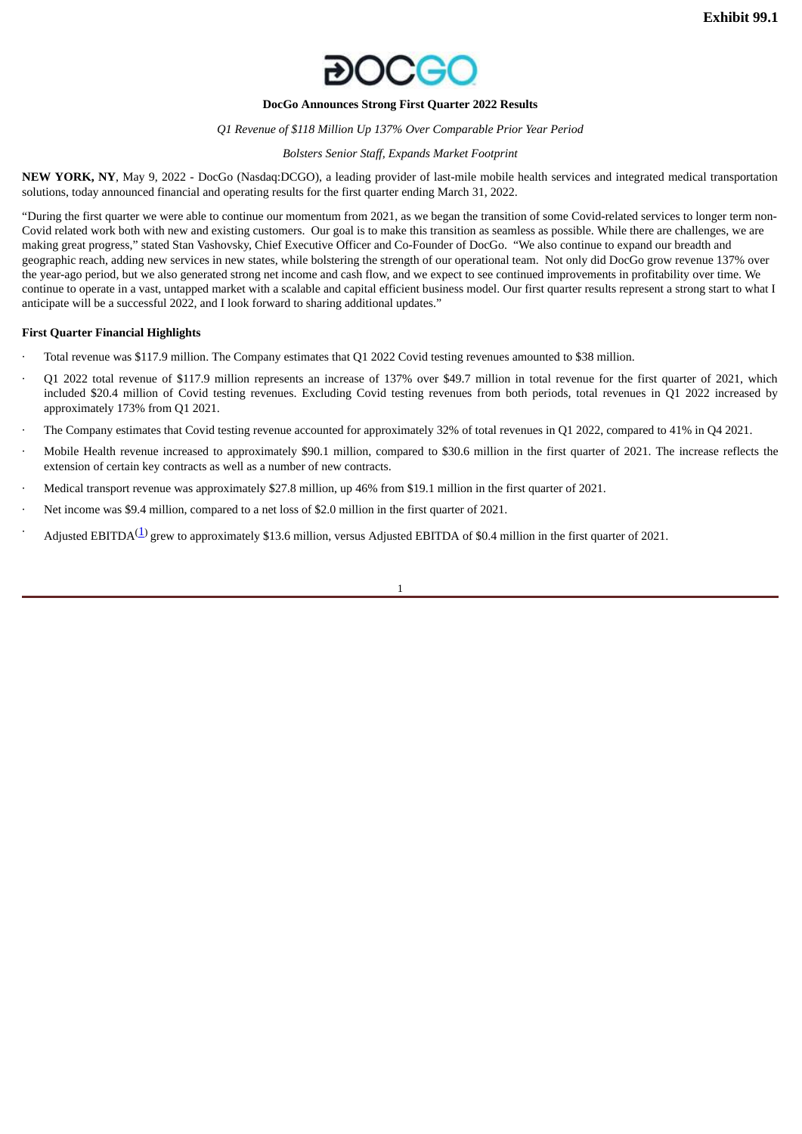

## **DocGo Announces Strong First Quarter 2022 Results**

#### *Q1 Revenue of \$118 Million Up 137% Over Comparable Prior Year Period*

#### *Bolsters Senior Staff, Expands Market Footprint*

<span id="page-3-0"></span>**NEW YORK, NY**, May 9, 2022 - DocGo (Nasdaq:DCGO), a leading provider of last-mile mobile health services and integrated medical transportation solutions, today announced financial and operating results for the first quarter ending March 31, 2022.

"During the first quarter we were able to continue our momentum from 2021, as we began the transition of some Covid-related services to longer term non-Covid related work both with new and existing customers. Our goal is to make this transition as seamless as possible. While there are challenges, we are making great progress," stated Stan Vashovsky, Chief Executive Officer and Co-Founder of DocGo. "We also continue to expand our breadth and geographic reach, adding new services in new states, while bolstering the strength of our operational team. Not only did DocGo grow revenue 137% over the year-ago period, but we also generated strong net income and cash flow, and we expect to see continued improvements in profitability over time. We continue to operate in a vast, untapped market with a scalable and capital efficient business model. Our first quarter results represent a strong start to what I anticipate will be a successful 2022, and I look forward to sharing additional updates."

#### **First Quarter Financial Highlights**

- · Total revenue was \$117.9 million. The Company estimates that Q1 2022 Covid testing revenues amounted to \$38 million.
- · Q1 2022 total revenue of \$117.9 million represents an increase of 137% over \$49.7 million in total revenue for the first quarter of 2021, which included \$20.4 million of Covid testing revenues. Excluding Covid testing revenues from both periods, total revenues in Q1 2022 increased by approximately 173% from Q1 2021.
- · The Company estimates that Covid testing revenue accounted for approximately 32% of total revenues in Q1 2022, compared to 41% in Q4 2021.
- · Mobile Health revenue increased to approximately \$90.1 million, compared to \$30.6 million in the first quarter of 2021. The increase reflects the extension of certain key contracts as well as a number of new contracts.
- · Medical transport revenue was approximately \$27.8 million, up 46% from \$19.1 million in the first quarter of 2021.
- · Net income was \$9.4 million, compared to a net loss of \$2.0 million in the first quarter of 2021.
- Adjusted EBITDA<sup>([1](#page-4-0))</sup> grew to approximately \$13.6 million, versus Adjusted EBITDA of \$0.4 million in the first quarter of 2021.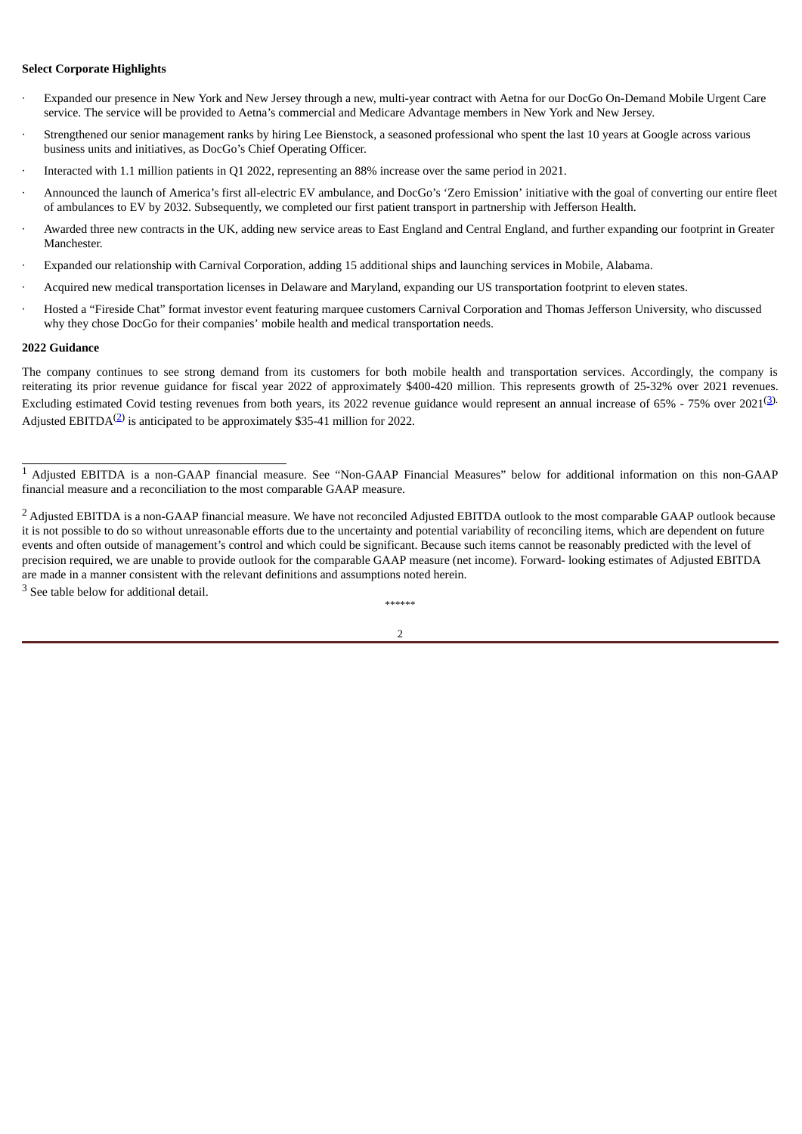#### **Select Corporate Highlights**

- · Expanded our presence in New York and New Jersey through a new, multi-year contract with Aetna for our DocGo On-Demand Mobile Urgent Care service. The service will be provided to Aetna's commercial and Medicare Advantage members in New York and New Jersey.
- · Strengthened our senior management ranks by hiring Lee Bienstock, a seasoned professional who spent the last 10 years at Google across various business units and initiatives, as DocGo's Chief Operating Officer.
- · Interacted with 1.1 million patients in Q1 2022, representing an 88% increase over the same period in 2021.
- · Announced the launch of America's first all-electric EV ambulance, and DocGo's 'Zero Emission' initiative with the goal of converting our entire fleet of ambulances to EV by 2032. Subsequently, we completed our first patient transport in partnership with Jefferson Health.
- · Awarded three new contracts in the UK, adding new service areas to East England and Central England, and further expanding our footprint in Greater Manchester.
- · Expanded our relationship with Carnival Corporation, adding 15 additional ships and launching services in Mobile, Alabama.
- · Acquired new medical transportation licenses in Delaware and Maryland, expanding our US transportation footprint to eleven states.
- · Hosted a "Fireside Chat" format investor event featuring marquee customers Carnival Corporation and Thomas Jefferson University, who discussed why they chose DocGo for their companies' mobile health and medical transportation needs.

#### **2022 Guidance**

The company continues to see strong demand from its customers for both mobile health and transportation services. Accordingly, the company is reiterating its prior revenue guidance for fiscal year 2022 of approximately \$400-420 million. This represents growth of 25-32% over 2021 revenues. Excluding estimated Covid testing revenues from both years, its 2022 revenue guidance would represent an annual increase of 65% - 75% over 2021<sup>([3](#page-4-1)).</sup> Adjusted EBITDA<sup>([2\)](#page-4-2)</sup> is anticipated to be approximately \$35-41 million for 2022.

<span id="page-4-0"></span><sup>1</sup> Adjusted EBITDA is a non-GAAP financial measure. See "Non-GAAP Financial Measures" below for additional information on this non-GAAP financial measure and a reconciliation to the most comparable GAAP measure.

<span id="page-4-2"></span><sup>2</sup> Adjusted EBITDA is a non-GAAP financial measure. We have not reconciled Adjusted EBITDA outlook to the most comparable GAAP outlook because it is not possible to do so without unreasonable efforts due to the uncertainty and potential variability of reconciling items, which are dependent on future events and often outside of management's control and which could be significant. Because such items cannot be reasonably predicted with the level of precision required, we are unable to provide outlook for the comparable GAAP measure (net income). Forward- looking estimates of Adjusted EBITDA are made in a manner consistent with the relevant definitions and assumptions noted herein.

<span id="page-4-1"></span><sup>3</sup> See table below for additional detail.

\*\*\*\*\*\*  $\overline{2}$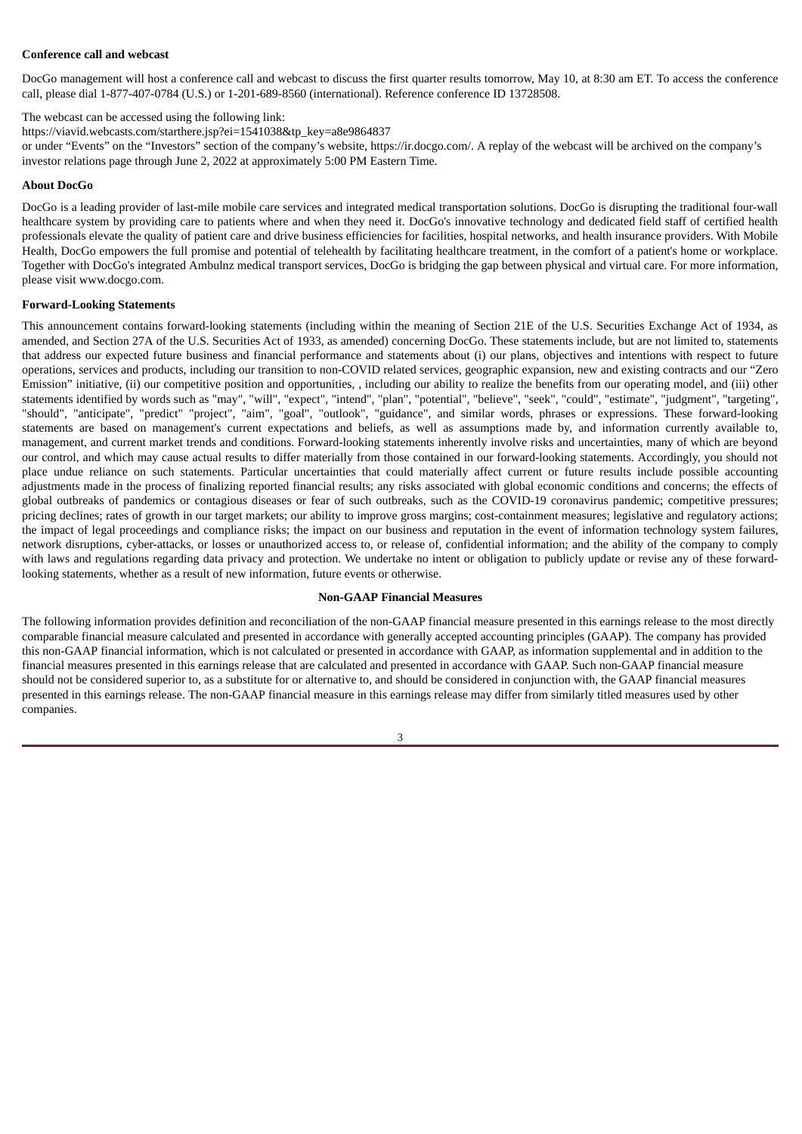#### **Conference call and webcast**

DocGo management will host a conference call and webcast to discuss the first quarter results tomorrow, May 10, at 8:30 am ET. To access the conference call, please dial 1-877-407-0784 (U.S.) or 1-201-689-8560 (international). Reference conference ID 13728508.

The webcast can be accessed using the following link:

https://viavid.webcasts.com/starthere.jsp?ei=1541038&tp\_key=a8e9864837

or under "Events" on the "Investors" section of the company's website, https://ir.docgo.com/. A replay of the webcast will be archived on the company's investor relations page through June 2, 2022 at approximately 5:00 PM Eastern Time.

#### **About DocGo**

DocGo is a leading provider of last-mile mobile care services and integrated medical transportation solutions. DocGo is disrupting the traditional four-wall healthcare system by providing care to patients where and when they need it. DocGo's innovative technology and dedicated field staff of certified health professionals elevate the quality of patient care and drive business efficiencies for facilities, hospital networks, and health insurance providers. With Mobile Health, DocGo empowers the full promise and potential of telehealth by facilitating healthcare treatment, in the comfort of a patient's home or workplace. Together with DocGo's integrated Ambulnz medical transport services, DocGo is bridging the gap between physical and virtual care. For more information, please visit www.docgo.com.

#### **Forward-Looking Statements**

This announcement contains forward-looking statements (including within the meaning of Section 21E of the U.S. Securities Exchange Act of 1934, as amended, and Section 27A of the U.S. Securities Act of 1933, as amended) concerning DocGo. These statements include, but are not limited to, statements that address our expected future business and financial performance and statements about (i) our plans, objectives and intentions with respect to future operations, services and products, including our transition to non-COVID related services, geographic expansion, new and existing contracts and our "Zero Emission" initiative, (ii) our competitive position and opportunities, , including our ability to realize the benefits from our operating model, and (iii) other statements identified by words such as "may", "will", "expect", "intend", "plan", "potential", "believe", "seek", "could", "estimate", "judgment", "targeting", "should", "anticipate", "predict" "project", "aim", "goal", "outlook", "guidance", and similar words, phrases or expressions. These forward-looking statements are based on management's current expectations and beliefs, as well as assumptions made by, and information currently available to, management, and current market trends and conditions. Forward-looking statements inherently involve risks and uncertainties, many of which are beyond our control, and which may cause actual results to differ materially from those contained in our forward-looking statements. Accordingly, you should not place undue reliance on such statements. Particular uncertainties that could materially affect current or future results include possible accounting adjustments made in the process of finalizing reported financial results; any risks associated with global economic conditions and concerns; the effects of global outbreaks of pandemics or contagious diseases or fear of such outbreaks, such as the COVID-19 coronavirus pandemic; competitive pressures; pricing declines; rates of growth in our target markets; our ability to improve gross margins; cost-containment measures; legislative and regulatory actions; the impact of legal proceedings and compliance risks; the impact on our business and reputation in the event of information technology system failures, network disruptions, cyber-attacks, or losses or unauthorized access to, or release of, confidential information; and the ability of the company to comply with laws and regulations regarding data privacy and protection. We undertake no intent or obligation to publicly update or revise any of these forwardlooking statements, whether as a result of new information, future events or otherwise.

#### **Non-GAAP Financial Measures**

The following information provides definition and reconciliation of the non-GAAP financial measure presented in this earnings release to the most directly comparable financial measure calculated and presented in accordance with generally accepted accounting principles (GAAP). The company has provided this non-GAAP financial information, which is not calculated or presented in accordance with GAAP, as information supplemental and in addition to the financial measures presented in this earnings release that are calculated and presented in accordance with GAAP. Such non-GAAP financial measure should not be considered superior to, as a substitute for or alternative to, and should be considered in conjunction with, the GAAP financial measures presented in this earnings release. The non-GAAP financial measure in this earnings release may differ from similarly titled measures used by other companies.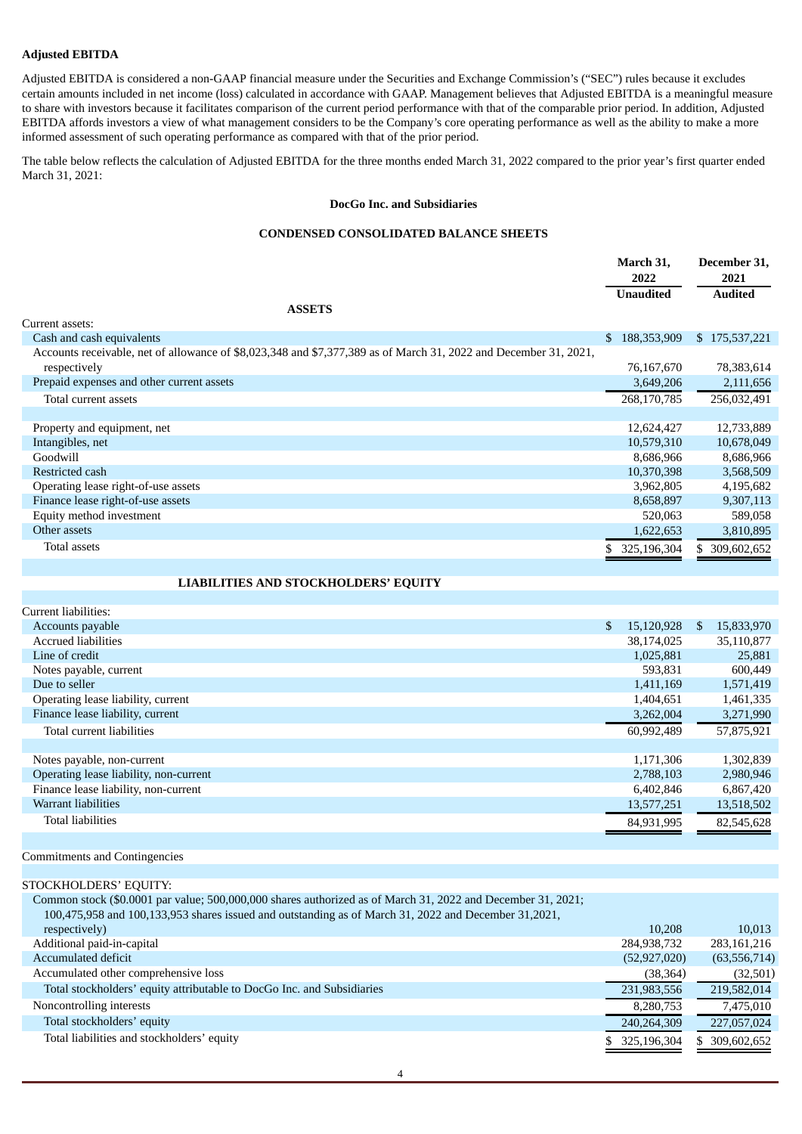## **Adjusted EBITDA**

Adjusted EBITDA is considered a non-GAAP financial measure under the Securities and Exchange Commission's ("SEC") rules because it excludes certain amounts included in net income (loss) calculated in accordance with GAAP. Management believes that Adjusted EBITDA is a meaningful measure to share with investors because it facilitates comparison of the current period performance with that of the comparable prior period. In addition, Adjusted EBITDA affords investors a view of what management considers to be the Company's core operating performance as well as the ability to make a more informed assessment of such operating performance as compared with that of the prior period.

The table below reflects the calculation of Adjusted EBITDA for the three months ended March 31, 2022 compared to the prior year's first quarter ended March 31, 2021:

#### **DocGo Inc. and Subsidiaries**

#### **CONDENSED CONSOLIDATED BALANCE SHEETS**

|                                                                                                                                  | March 31,<br>2022<br><b>Unaudited</b> | December 31,<br>2021<br><b>Audited</b> |
|----------------------------------------------------------------------------------------------------------------------------------|---------------------------------------|----------------------------------------|
| <b>ASSETS</b>                                                                                                                    |                                       |                                        |
| Current assets:                                                                                                                  |                                       |                                        |
| Cash and cash equivalents                                                                                                        | \$188,353,909                         | \$175,537,221                          |
| Accounts receivable, net of allowance of \$8,023,348 and \$7,377,389 as of March 31, 2022 and December 31, 2021,<br>respectively | 76,167,670                            | 78,383,614                             |
| Prepaid expenses and other current assets                                                                                        | 3,649,206                             | 2,111,656                              |
| Total current assets                                                                                                             | 268,170,785                           | 256,032,491                            |
|                                                                                                                                  |                                       |                                        |
| Property and equipment, net                                                                                                      | 12,624,427                            | 12,733,889                             |
| Intangibles, net                                                                                                                 | 10,579,310                            | 10,678,049                             |
| Goodwill                                                                                                                         | 8,686,966                             | 8,686,966                              |
| Restricted cash                                                                                                                  | 10,370,398                            | 3,568,509                              |
| Operating lease right-of-use assets                                                                                              | 3,962,805                             | 4,195,682                              |
| Finance lease right-of-use assets                                                                                                | 8,658,897                             | 9,307,113                              |
| Equity method investment                                                                                                         | 520,063                               | 589,058                                |
| Other assets                                                                                                                     | 1,622,653                             | 3,810,895                              |
| <b>Total assets</b>                                                                                                              | \$<br>325,196,304                     | \$ 309,602,652                         |
| <b>LIABILITIES AND STOCKHOLDERS' EQUITY</b>                                                                                      |                                       |                                        |
|                                                                                                                                  |                                       |                                        |
| Current liabilities:                                                                                                             |                                       |                                        |
| Accounts payable                                                                                                                 | \$<br>15,120,928                      | \$<br>15,833,970                       |
| <b>Accrued liabilities</b>                                                                                                       | 38,174,025                            | 35,110,877                             |
| Line of credit                                                                                                                   | 1,025,881                             | 25,881                                 |
| Notes payable, current                                                                                                           | 593,831                               | 600,449                                |
| Due to seller                                                                                                                    | 1,411,169                             | 1,571,419                              |
| Operating lease liability, current                                                                                               | 1,404,651                             | 1,461,335                              |
| Finance lease liability, current                                                                                                 | 3,262,004                             | 3,271,990                              |
| Total current liabilities                                                                                                        | 60,992,489                            | 57,875,921                             |
|                                                                                                                                  |                                       |                                        |
| Notes payable, non-current                                                                                                       | 1,171,306                             | 1,302,839                              |
| Operating lease liability, non-current                                                                                           | 2,788,103                             | 2,980,946                              |
| Finance lease liability, non-current                                                                                             | 6,402,846                             | 6,867,420                              |
| <b>Warrant liabilities</b>                                                                                                       | 13,577,251                            | 13,518,502                             |
| <b>Total liabilities</b>                                                                                                         | 84,931,995                            | 82,545,628                             |
| Commitments and Contingencies                                                                                                    |                                       |                                        |

STOCKHOLDERS' EQUITY:

| 10.013         |
|----------------|
| 283, 161, 216  |
| (63, 556, 714) |
| (32,501)       |
| 219,582,014    |
| 7,475,010      |
| 227,057,024    |
| 309,602,652    |
|                |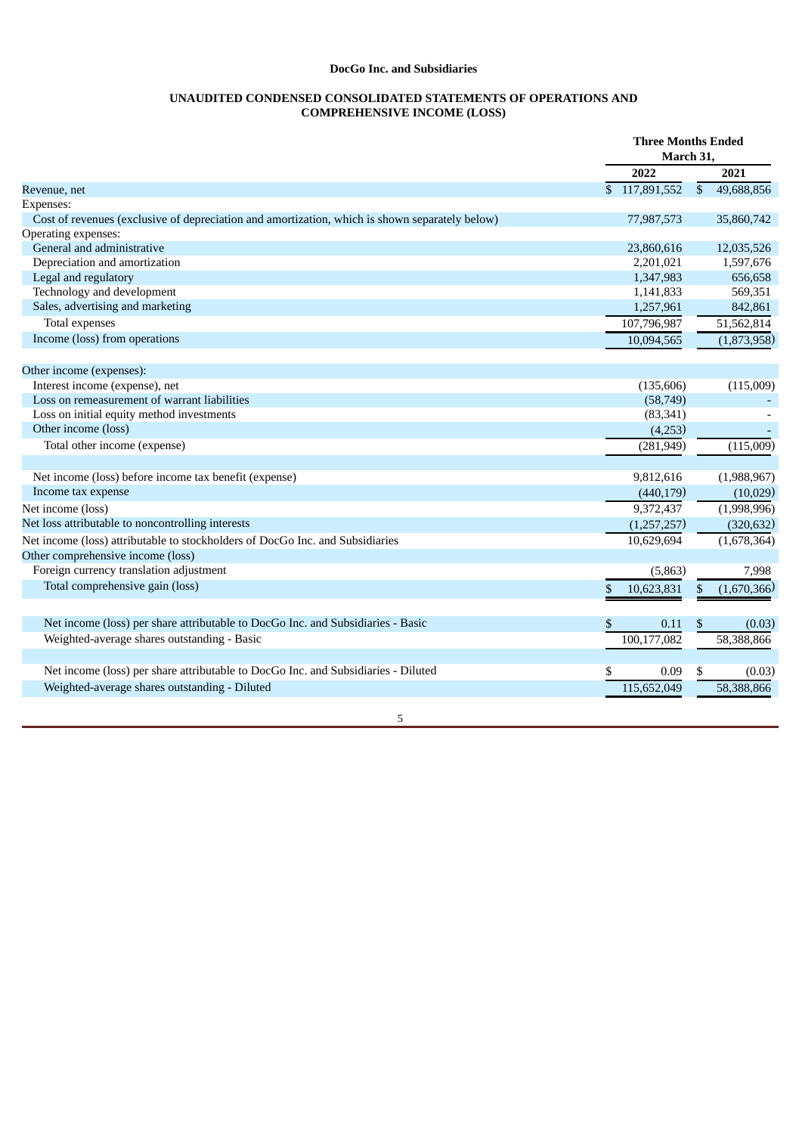## **DocGo Inc. and Subsidiaries**

## **UNAUDITED CONDENSED CONSOLIDATED STATEMENTS OF OPERATIONS AND COMPREHENSIVE INCOME (LOSS)**

|                                                                                                | <b>Three Months Ended</b><br>March 31, |              |             |
|------------------------------------------------------------------------------------------------|----------------------------------------|--------------|-------------|
|                                                                                                | 2022                                   |              | 2021        |
| Revenue, net                                                                                   | \$117,891,552                          | $\mathbb{S}$ | 49,688,856  |
| Expenses:                                                                                      |                                        |              |             |
| Cost of revenues (exclusive of depreciation and amortization, which is shown separately below) | 77,987,573                             |              | 35,860,742  |
| Operating expenses:                                                                            |                                        |              |             |
| General and administrative                                                                     | 23,860,616                             |              | 12,035,526  |
| Depreciation and amortization                                                                  | 2,201,021                              |              | 1,597,676   |
| Legal and regulatory                                                                           | 1,347,983                              |              | 656,658     |
| Technology and development                                                                     | 1,141,833                              |              | 569,351     |
| Sales, advertising and marketing                                                               | 1,257,961                              |              | 842,861     |
| Total expenses                                                                                 | 107,796,987                            |              | 51,562,814  |
| Income (loss) from operations                                                                  | 10,094,565                             |              | (1,873,958) |
| Other income (expenses):                                                                       |                                        |              |             |
| Interest income (expense), net                                                                 | (135, 606)                             |              | (115,009)   |
| Loss on remeasurement of warrant liabilities                                                   | (58, 749)                              |              |             |
| Loss on initial equity method investments                                                      | (83, 341)                              |              |             |
| Other income (loss)                                                                            | (4,253)                                |              |             |
| Total other income (expense)                                                                   | (281, 949)                             |              | (115,009)   |
|                                                                                                |                                        |              |             |
| Net income (loss) before income tax benefit (expense)                                          | 9,812,616                              |              | (1,988,967) |
| Income tax expense                                                                             | (440, 179)                             |              | (10,029)    |
| Net income (loss)                                                                              | 9,372,437                              |              | (1,998,996) |
| Net loss attributable to noncontrolling interests                                              | (1,257,257)                            |              | (320, 632)  |
| Net income (loss) attributable to stockholders of DocGo Inc. and Subsidiaries                  | 10,629,694                             |              | (1,678,364) |
| Other comprehensive income (loss)                                                              |                                        |              |             |
| Foreign currency translation adjustment                                                        | (5,863)                                |              | 7,998       |
| Total comprehensive gain (loss)                                                                | 10,623,831<br>\$                       | \$           | (1,670,366) |
|                                                                                                |                                        |              |             |
| Net income (loss) per share attributable to DocGo Inc. and Subsidiaries - Basic                | \$<br>0.11                             | \$           | (0.03)      |
| Weighted-average shares outstanding - Basic                                                    | 100,177,082                            |              | 58,388,866  |
| Net income (loss) per share attributable to DocGo Inc. and Subsidiaries - Diluted              | \$<br>0.09                             | \$           | (0.03)      |
| Weighted-average shares outstanding - Diluted                                                  | 115,652,049                            |              | 58,388,866  |
|                                                                                                |                                        |              |             |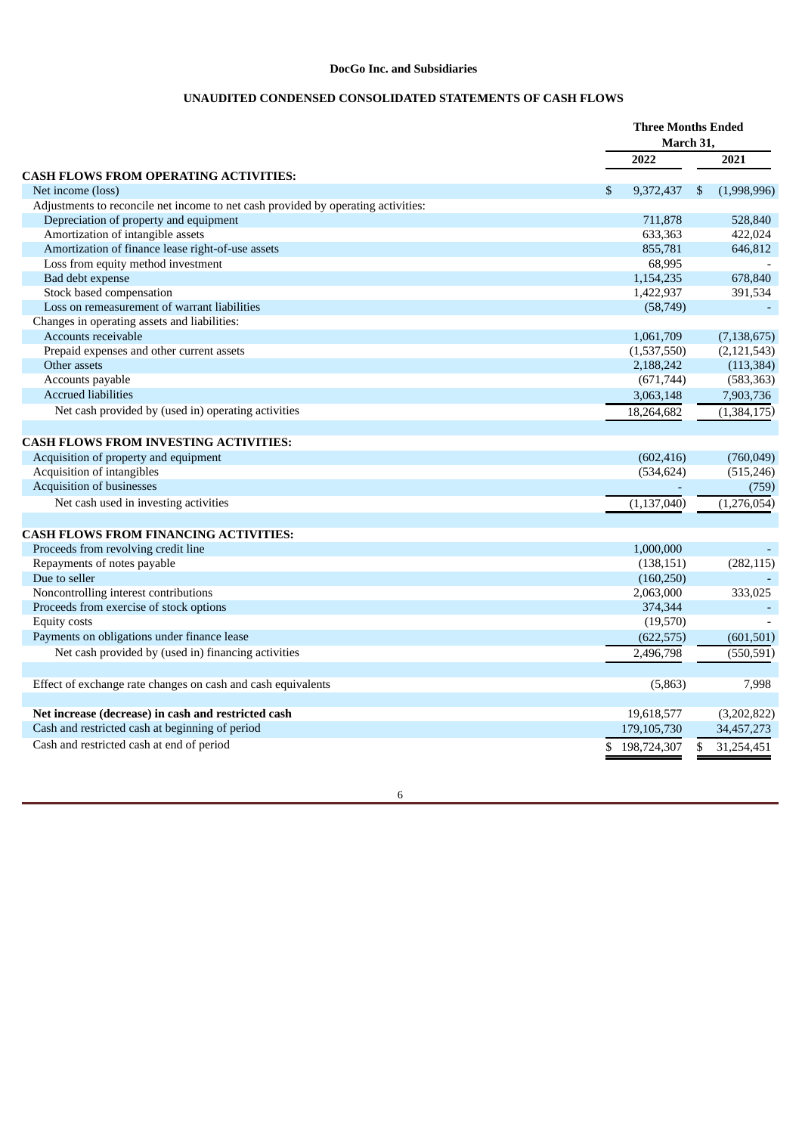## **DocGo Inc. and Subsidiaries**

## **UNAUDITED CONDENSED CONSOLIDATED STATEMENTS OF CASH FLOWS**

|                                                                                   |             | <b>Three Months Ended</b><br>March 31. |                |               |
|-----------------------------------------------------------------------------------|-------------|----------------------------------------|----------------|---------------|
|                                                                                   | 2022        |                                        |                | 2021          |
| <b>CASH FLOWS FROM OPERATING ACTIVITIES:</b>                                      |             |                                        |                |               |
| Net income (loss)                                                                 | \$          | 9,372,437                              | $\mathfrak{S}$ | (1,998,996)   |
| Adjustments to reconcile net income to net cash provided by operating activities: |             |                                        |                |               |
| Depreciation of property and equipment                                            |             | 711,878                                |                | 528,840       |
| Amortization of intangible assets                                                 |             | 633,363                                |                | 422,024       |
| Amortization of finance lease right-of-use assets                                 |             | 855,781                                |                | 646,812       |
| Loss from equity method investment                                                |             | 68,995                                 |                |               |
| Bad debt expense                                                                  |             | 1,154,235                              |                | 678,840       |
| Stock based compensation                                                          |             | 1,422,937                              |                | 391,534       |
| Loss on remeasurement of warrant liabilities                                      |             | (58, 749)                              |                |               |
| Changes in operating assets and liabilities:                                      |             |                                        |                |               |
| Accounts receivable                                                               |             | 1,061,709                              |                | (7, 138, 675) |
| Prepaid expenses and other current assets<br>Other assets                         |             | (1,537,550)                            |                | (2, 121, 543) |
|                                                                                   |             | 2,188,242                              |                | (113, 384)    |
| Accounts payable<br><b>Accrued liabilities</b>                                    |             | (671, 744)                             |                | (583, 363)    |
|                                                                                   |             | 3,063,148                              |                | 7,903,736     |
| Net cash provided by (used in) operating activities                               |             | 18.264.682                             |                | (1,384,175)   |
|                                                                                   |             |                                        |                |               |
| <b>CASH FLOWS FROM INVESTING ACTIVITIES:</b>                                      |             |                                        |                |               |
| Acquisition of property and equipment                                             |             | (602, 416)                             |                | (760, 049)    |
| Acquisition of intangibles                                                        |             | (534, 624)                             |                | (515, 246)    |
| Acquisition of businesses                                                         |             |                                        |                | (759)         |
| Net cash used in investing activities                                             |             | (1, 137, 040)                          |                | (1,276,054)   |
|                                                                                   |             |                                        |                |               |
| <b>CASH FLOWS FROM FINANCING ACTIVITIES:</b>                                      |             |                                        |                |               |
| Proceeds from revolving credit line                                               |             | 1,000,000                              |                |               |
| Repayments of notes payable                                                       |             | (138, 151)                             |                | (282, 115)    |
| Due to seller                                                                     |             | (160, 250)                             |                |               |
| Noncontrolling interest contributions                                             |             | 2,063,000                              |                | 333,025       |
| Proceeds from exercise of stock options                                           |             | 374,344                                |                |               |
| <b>Equity costs</b>                                                               |             | (19,570)                               |                |               |
| Payments on obligations under finance lease                                       |             | (622, 575)                             |                | (601, 501)    |
| Net cash provided by (used in) financing activities                               |             | 2,496,798                              |                | (550, 591)    |
|                                                                                   |             |                                        |                |               |
| Effect of exchange rate changes on cash and cash equivalents                      |             | (5,863)                                |                | 7,998         |
|                                                                                   |             |                                        |                |               |
| Net increase (decrease) in cash and restricted cash                               |             | 19,618,577                             |                | (3,202,822)   |
| Cash and restricted cash at beginning of period                                   | 179,105,730 |                                        |                | 34,457,273    |
| Cash and restricted cash at end of period                                         | 198,724,307 |                                        | \$             | 31,254,451    |
|                                                                                   |             |                                        |                |               |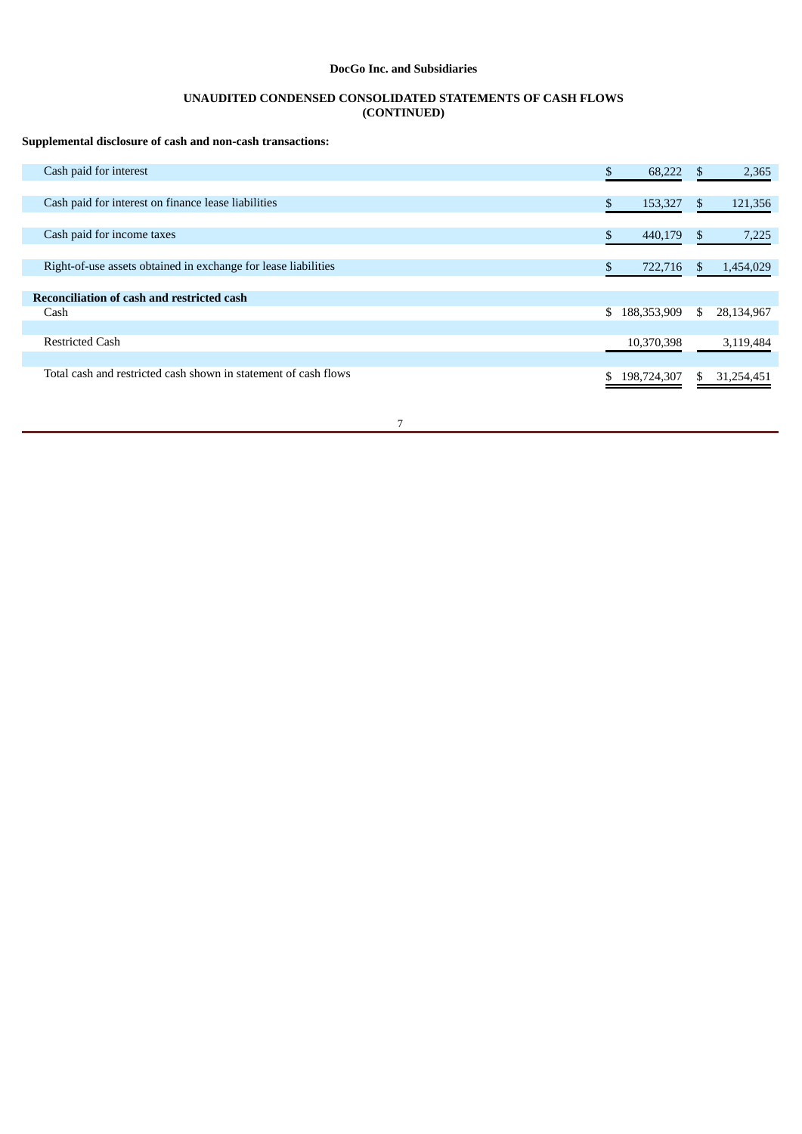## **DocGo Inc. and Subsidiaries**

## **UNAUDITED CONDENSED CONSOLIDATED STATEMENTS OF CASH FLOWS (CONTINUED)**

**Supplemental disclosure of cash and non-cash transactions:**

| Cash paid for interest                                          | D. | 68,222      | S   | 2,365      |
|-----------------------------------------------------------------|----|-------------|-----|------------|
| Cash paid for interest on finance lease liabilities             | ж  | 153,327     | \$  | 121,356    |
| Cash paid for income taxes                                      | J. | 440,179     | \$. | 7,225      |
| Right-of-use assets obtained in exchange for lease liabilities  |    | 722,716     | \$. | 1,454,029  |
| <b>Reconciliation of cash and restricted cash</b>               |    |             |     |            |
| Cash                                                            | S. | 188,353,909 | \$  | 28,134,967 |
| <b>Restricted Cash</b>                                          |    | 10,370,398  |     | 3,119,484  |
| Total cash and restricted cash shown in statement of cash flows |    | 198,724,307 | \$  | 31.254.451 |